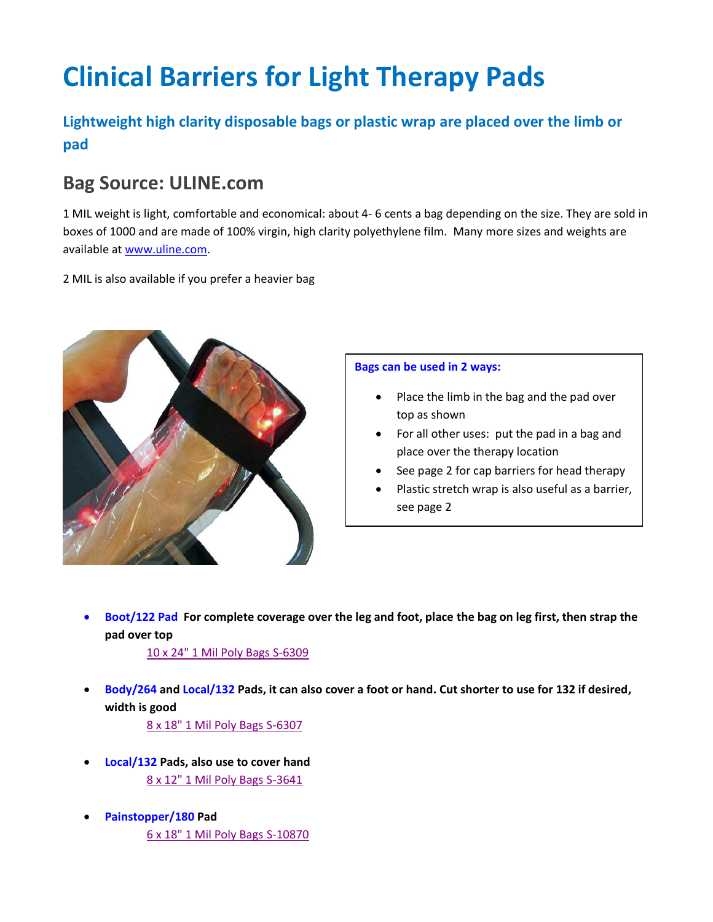# **Clinical Barriers for Light Therapy Pads**

### **Lightweight high clarity disposable bags or plastic wrap are placed over the limb or pad**

### **Bag Source: ULINE.com**

1 MIL weight is light, comfortable and economical: about 4- 6 cents a bag depending on the size. They are sold in boxes of 1000 and are made of 100% virgin, high clarity polyethylene film. Many more sizes and weights are available at [www.uline.com.](http://www.uline.com/)

2 MIL is also available if you prefer a heavier bag



#### **Bags can be used in 2 ways:**

- Place the limb in the bag and the pad over top as shown
- For all other uses: put the pad in a bag and place over the therapy location
- See page 2 for cap barriers for head therapy
- Plastic stretch wrap is also useful as a barrier, see page 2

 **Boot/122 Pad For complete coverage over the leg and foot, place the bag on leg first, then strap the pad over top**

[10 x 24" 1 Mil Poly Bags](https://www.uline.com/Product/Detail/S-6309/Poly-Bags-Flat-Open/10-x-24-1-Mil-Poly-Bags) S-6309

 **Body/264 and Local/132 Pads, it can also cover a foot or hand. Cut shorter to use for 132 if desired, width is good**

8 [x 18" 1 Mil Poly Bags S-6307](https://www.uline.com/Product/Detail/S-6307/Poly-Bags-Flat-Open/8-x-18-1-Mil-Poly-Bags)

- **Local/132 Pads, also use to cover hand** 8 [x 12" 1 Mil Poly Bags S-3641](https://www.uline.com/Product/Detail/S-3641/Poly-Bags-Flat-Open/8-x-12-1-Mil-Poly-Bags)
- **Painstopper/180 Pad** 6 [x 18" 1 Mil Poly Bags](https://www.uline.com/Product/Detail/S-10870/Poly-Bags-Flat-Open/6-x-18-1-Mil-Poly-Bags) S-10870